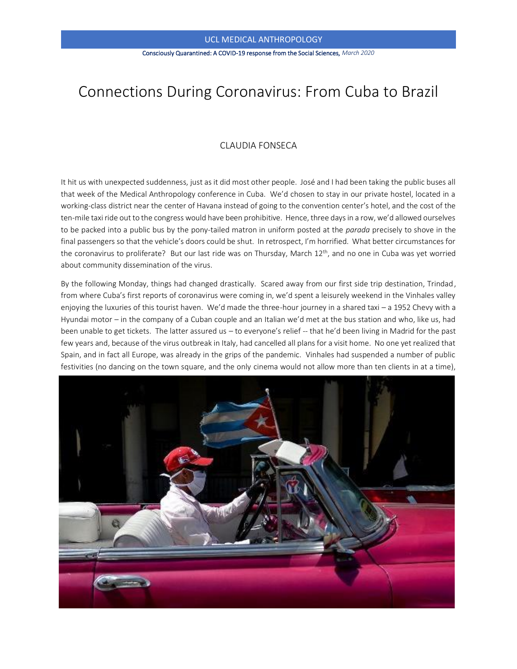## UCL MEDICAL ANTHROPOLOGY

#### Consciously Quarantined: A COVID-19 response from the Social Sciences, *March 2020*

# Connections During Coronavirus: From Cuba to Brazil

## CLAUDIA FONSECA

It hit us with unexpected suddenness, just as it did most other people. José and I had been taking the public buses all that week of the Medical Anthropology conference in Cuba. We'd chosen to stay in our private hostel, located in a working-class district near the center of Havana instead of going to the convention center's hotel, and the cost of the ten-mile taxi ride out to the congress would have been prohibitive. Hence, three days in a row, we'd allowed ourselves to be packed into a public bus by the pony-tailed matron in uniform posted at the *parada* precisely to shove in the final passengers so that the vehicle's doors could be shut. In retrospect, I'm horrified. What better circumstances for the coronavirus to proliferate? But our last ride was on Thursday, March 12<sup>th</sup>, and no one in Cuba was yet worried about community dissemination of the virus.

By the following Monday, things had changed drastically. Scared away from our first side trip destination, Trindad, from where Cuba's first reports of coronavirus were coming in, we'd spent a leisurely weekend in the Vinhales valley enjoying the luxuries of this tourist haven. We'd made the three-hour journey in a shared taxi – a 1952 Chevy with a Hyundai motor – in the company of a Cuban couple and an Italian we'd met at the bus station and who, like us, had been unable to get tickets. The latter assured us – to everyone's relief -- that he'd been living in Madrid for the past few years and, because of the virus outbreak in Italy, had cancelled all plans for a visit home. No one yet realized that Spain, and in fact all Europe, was already in the grips of the pandemic. Vinhales had suspended a number of public festivities (no dancing on the town square, and the only cinema would not allow more than ten clients in at a time),

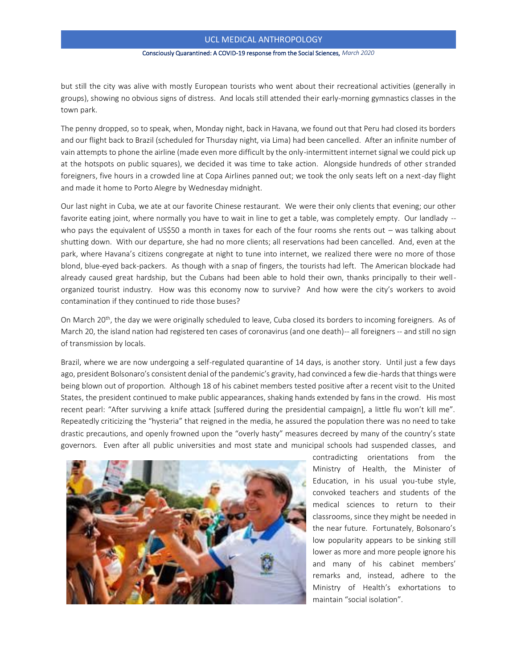## UCL MEDICAL ANTHROPOLOGY

#### Consciously Quarantined: A COVID-19 response from the Social Sciences, *March 2020*

but still the city was alive with mostly European tourists who went about their recreational activities (generally in groups), showing no obvious signs of distress. And locals still attended their early-morning gymnastics classes in the town park.

The penny dropped, so to speak, when, Monday night, back in Havana, we found out that Peru had closed its borders and our flight back to Brazil (scheduled for Thursday night, via Lima) had been cancelled. After an infinite number of vain attempts to phone the airline (made even more difficult by the only-intermittent internet signal we could pick up at the hotspots on public squares), we decided it was time to take action. Alongside hundreds of other stranded foreigners, five hours in a crowded line at Copa Airlines panned out; we took the only seats left on a next-day flight and made it home to Porto Alegre by Wednesday midnight.

Our last night in Cuba, we ate at our favorite Chinese restaurant. We were their only clients that evening; our other favorite eating joint, where normally you have to wait in line to get a table, was completely empty. Our landlady - who pays the equivalent of US\$50 a month in taxes for each of the four rooms she rents out – was talking about shutting down. With our departure, she had no more clients; all reservations had been cancelled. And, even at the park, where Havana's citizens congregate at night to tune into internet, we realized there were no more of those blond, blue-eyed back-packers. As though with a snap of fingers, the tourists had left. The American blockade had already caused great hardship, but the Cubans had been able to hold their own, thanks principally to their wellorganized tourist industry. How was this economy now to survive? And how were the city's workers to avoid contamination if they continued to ride those buses?

On March 20<sup>th</sup>, the day we were originally scheduled to leave, Cuba closed its borders to incoming foreigners. As of March 20, the island nation had registered ten cases of coronavirus (and one death)-- all foreigners -- and still no sign of transmission by locals.

Brazil, where we are now undergoing a self-regulated quarantine of 14 days, is another story. Until just a few days ago, president Bolsonaro's consistent denial of the pandemic's gravity, had convinced a few die-hards that things were being blown out of proportion. Although 18 of his cabinet members tested positive after a recent visit to the United States, the president continued to make public appearances, shaking hands extended by fans in the crowd. His most recent pearl: "After surviving a knife attack [suffered during the presidential campaign], a little flu won't kill me". Repeatedly criticizing the "hysteria" that reigned in the media, he assured the population there was no need to take drastic precautions, and openly frowned upon the "overly hasty" measures decreed by many of the country's state governors. Even after all public universities and most state and municipal schools had suspended classes, and



contradicting orientations from the Ministry of Health, the Minister of Education, in his usual you-tube style, convoked teachers and students of the medical sciences to return to their classrooms, since they might be needed in the near future. Fortunately, Bolsonaro's low popularity appears to be sinking still lower as more and more people ignore his and many of his cabinet members' remarks and, instead, adhere to the Ministry of Health's exhortations to maintain "social isolation".